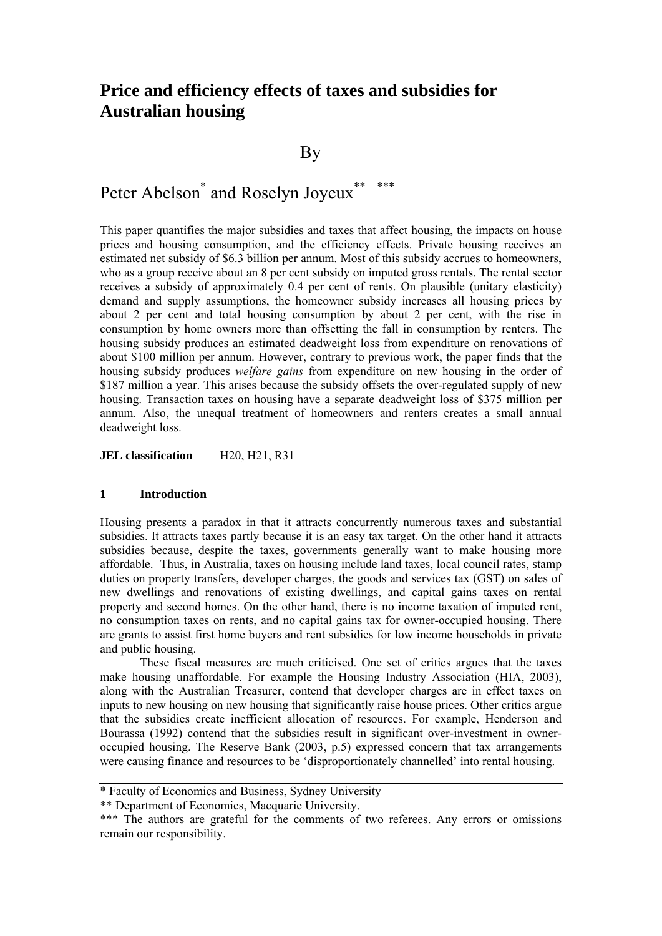## **Price and efficiency effects of taxes and subsidies for Australian housing**

**By** 

# Peter Abelson<sup>\*</sup> and Roselyn Joyeux<sup>\*\*</sup> \*\*\*

This paper quantifies the major subsidies and taxes that affect housing, the impacts on house prices and housing consumption, and the efficiency effects. Private housing receives an estimated net subsidy of \$6.3 billion per annum. Most of this subsidy accrues to homeowners, who as a group receive about an 8 per cent subsidy on imputed gross rentals. The rental sector receives a subsidy of approximately 0.4 per cent of rents. On plausible (unitary elasticity) demand and supply assumptions, the homeowner subsidy increases all housing prices by about 2 per cent and total housing consumption by about 2 per cent, with the rise in consumption by home owners more than offsetting the fall in consumption by renters. The housing subsidy produces an estimated deadweight loss from expenditure on renovations of about \$100 million per annum. However, contrary to previous work, the paper finds that the housing subsidy produces *welfare gains* from expenditure on new housing in the order of \$187 million a year. This arises because the subsidy offsets the over-regulated supply of new housing. Transaction taxes on housing have a separate deadweight loss of \$375 million per annum. Also, the unequal treatment of homeowners and renters creates a small annual deadweight loss.

**JEL classification H20, H21, R31** 

## **1 Introduction**

Housing presents a paradox in that it attracts concurrently numerous taxes and substantial subsidies. It attracts taxes partly because it is an easy tax target. On the other hand it attracts subsidies because, despite the taxes, governments generally want to make housing more affordable. Thus, in Australia, taxes on housing include land taxes, local council rates, stamp duties on property transfers, developer charges, the goods and services tax (GST) on sales of new dwellings and renovations of existing dwellings, and capital gains taxes on rental property and second homes. On the other hand, there is no income taxation of imputed rent, no consumption taxes on rents, and no capital gains tax for owner-occupied housing. There are grants to assist first home buyers and rent subsidies for low income households in private and public housing.

These fiscal measures are much criticised. One set of critics argues that the taxes make housing unaffordable. For example the Housing Industry Association (HIA, 2003), along with the Australian Treasurer, contend that developer charges are in effect taxes on inputs to new housing on new housing that significantly raise house prices. Other critics argue that the subsidies create inefficient allocation of resources. For example, Henderson and Bourassa (1992) contend that the subsidies result in significant over-investment in owneroccupied housing. The Reserve Bank (2003, p.5) expressed concern that tax arrangements were causing finance and resources to be 'disproportionately channelled' into rental housing.

<sup>\*</sup> Faculty of Economics and Business, Sydney University

<sup>\*\*</sup> Department of Economics, Macquarie University.

<sup>\*\*\*</sup> The authors are grateful for the comments of two referees. Any errors or omissions remain our responsibility.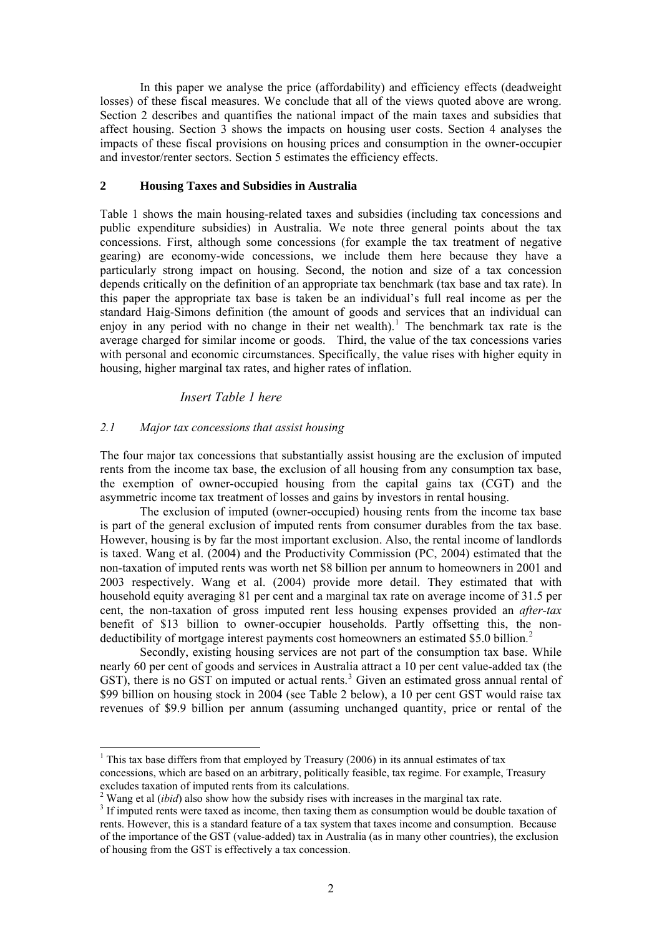In this paper we analyse the price (affordability) and efficiency effects (deadweight losses) of these fiscal measures. We conclude that all of the views quoted above are wrong. Section 2 describes and quantifies the national impact of the main taxes and subsidies that affect housing. Section 3 shows the impacts on housing user costs. Section 4 analyses the impacts of these fiscal provisions on housing prices and consumption in the owner-occupier and investor/renter sectors. Section 5 estimates the efficiency effects.

#### **2 Housing Taxes and Subsidies in Australia**

Table 1 shows the main housing-related taxes and subsidies (including tax concessions and public expenditure subsidies) in Australia. We note three general points about the tax concessions. First, although some concessions (for example the tax treatment of negative gearing) are economy-wide concessions, we include them here because they have a particularly strong impact on housing. Second, the notion and size of a tax concession depends critically on the definition of an appropriate tax benchmark (tax base and tax rate). In this paper the appropriate tax base is taken be an individual's full real income as per the standard Haig-Simons definition (the amount of goods and services that an individual can enjoy in any period with no change in their net wealth).<sup>[1](#page-1-0)</sup> The benchmark tax rate is the average charged for similar income or goods. Third, the value of the tax concessions varies with personal and economic circumstances. Specifically, the value rises with higher equity in housing, higher marginal tax rates, and higher rates of inflation.

## *Insert Table 1 here*

#### *2.1 Major tax concessions that assist housing*

<u>.</u>

The four major tax concessions that substantially assist housing are the exclusion of imputed rents from the income tax base, the exclusion of all housing from any consumption tax base, the exemption of owner-occupied housing from the capital gains tax (CGT) and the asymmetric income tax treatment of losses and gains by investors in rental housing.

The exclusion of imputed (owner-occupied) housing rents from the income tax base is part of the general exclusion of imputed rents from consumer durables from the tax base. However, housing is by far the most important exclusion. Also, the rental income of landlords is taxed. Wang et al. (2004) and the Productivity Commission (PC, 2004) estimated that the non-taxation of imputed rents was worth net \$8 billion per annum to homeowners in 2001 and 2003 respectively. Wang et al. (2004) provide more detail. They estimated that with household equity averaging 81 per cent and a marginal tax rate on average income of 31.5 per cent, the non-taxation of gross imputed rent less housing expenses provided an *after-tax* benefit of \$13 billion to owner-occupier households. Partly offsetting this, the non-deductibility of mortgage interest payments cost homeowners an estimated \$5.0 billion.<sup>[2](#page-1-1)</sup>

Secondly, existing housing services are not part of the consumption tax base. While nearly 60 per cent of goods and services in Australia attract a 10 per cent value-added tax (the GST), there is no GST on imputed or actual rents.<sup>[3](#page-1-2)</sup> Given an estimated gross annual rental of \$99 billion on housing stock in 2004 (see Table 2 below), a 10 per cent GST would raise tax revenues of \$9.9 billion per annum (assuming unchanged quantity, price or rental of the

<span id="page-1-0"></span><sup>&</sup>lt;sup>1</sup> This tax base differs from that employed by Treasury (2006) in its annual estimates of tax concessions, which are based on an arbitrary, politically feasible, tax regime. For example, Treasury excludes taxation of imputed rents from its calculations.

<sup>&</sup>lt;sup>2</sup> Wang et al *(ibid)* also show how the subsidy rises with increases in the marginal tax rate.  $\frac{3}{2}$  If imputed rate were taxed as income, then taxing them as consumption would be doubled

<span id="page-1-2"></span><span id="page-1-1"></span><sup>&</sup>lt;sup>3</sup> If imputed rents were taxed as income, then taxing them as consumption would be double taxation of rents. However, this is a standard feature of a tax system that taxes income and consumption. Because of the importance of the GST (value-added) tax in Australia (as in many other countries), the exclusion of housing from the GST is effectively a tax concession.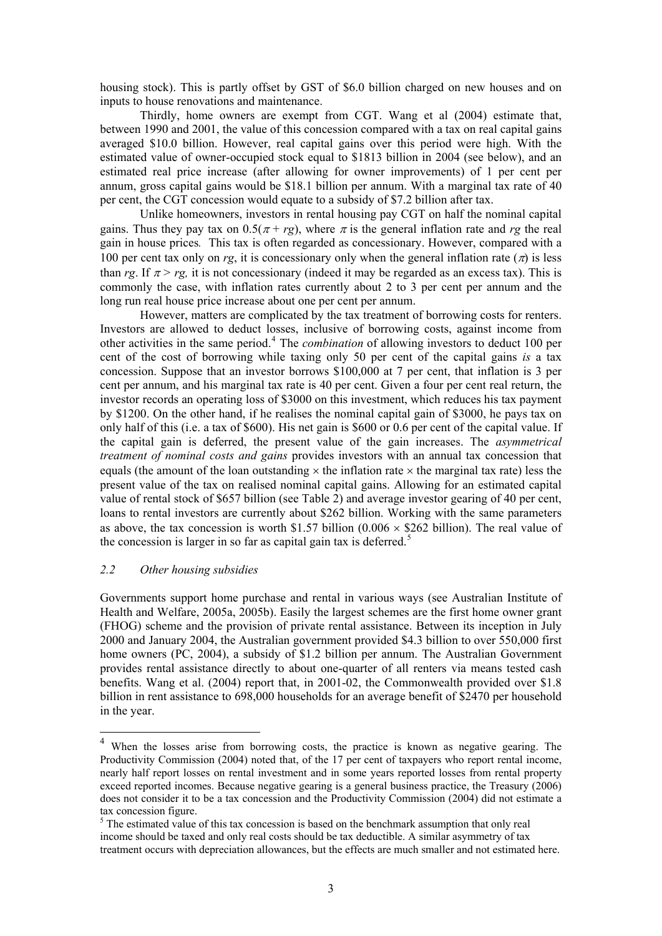housing stock). This is partly offset by GST of \$6.0 billion charged on new houses and on inputs to house renovations and maintenance.

Thirdly, home owners are exempt from CGT. Wang et al (2004) estimate that, between 1990 and 2001, the value of this concession compared with a tax on real capital gains averaged \$10.0 billion. However, real capital gains over this period were high. With the estimated value of owner-occupied stock equal to \$1813 billion in 2004 (see below), and an estimated real price increase (after allowing for owner improvements) of 1 per cent per annum, gross capital gains would be \$18.1 billion per annum. With a marginal tax rate of 40 per cent, the CGT concession would equate to a subsidy of \$7.2 billion after tax.

Unlike homeowners, investors in rental housing pay CGT on half the nominal capital gains. Thus they pay tax on  $0.5(\pi + rg)$ , where  $\pi$  is the general inflation rate and rg the real gain in house prices*.* This tax is often regarded as concessionary. However, compared with a 100 per cent tax only on *rg*, it is concessionary only when the general inflation rate  $(\pi)$  is less than *rg*. If  $\pi$  > *rg*, it is not concessionary (indeed it may be regarded as an excess tax). This is commonly the case, with inflation rates currently about 2 to 3 per cent per annum and the long run real house price increase about one per cent per annum.

However, matters are complicated by the tax treatment of borrowing costs for renters. Investors are allowed to deduct losses, inclusive of borrowing costs, against income from other activities in the same period.<sup>[4](#page-2-0)</sup> The *combination* of allowing investors to deduct 100 per cent of the cost of borrowing while taxing only 50 per cent of the capital gains *is* a tax concession. Suppose that an investor borrows \$100,000 at 7 per cent, that inflation is 3 per cent per annum, and his marginal tax rate is 40 per cent. Given a four per cent real return, the investor records an operating loss of \$3000 on this investment, which reduces his tax payment by \$1200. On the other hand, if he realises the nominal capital gain of \$3000, he pays tax on only half of this (i.e. a tax of \$600). His net gain is \$600 or 0.6 per cent of the capital value. If the capital gain is deferred, the present value of the gain increases. The *asymmetrical treatment of nominal costs and gains* provides investors with an annual tax concession that equals (the amount of the loan outstanding  $\times$  the inflation rate  $\times$  the marginal tax rate) less the present value of the tax on realised nominal capital gains. Allowing for an estimated capital value of rental stock of \$657 billion (see Table 2) and average investor gearing of 40 per cent, loans to rental investors are currently about \$262 billion. Working with the same parameters as above, the tax concession is worth \$1.57 billion ( $0.006 \times$  \$262 billion). The real value of the concession is larger in so far as capital gain tax is deferred.<sup>[5](#page-2-1)</sup>

## *2.2 Other housing subsidies*

1

Governments support home purchase and rental in various ways (see Australian Institute of Health and Welfare, 2005a, 2005b). Easily the largest schemes are the first home owner grant (FHOG) scheme and the provision of private rental assistance. Between its inception in July 2000 and January 2004, the Australian government provided \$4.3 billion to over 550,000 first home owners (PC, 2004), a subsidy of \$1.2 billion per annum. The Australian Government provides rental assistance directly to about one-quarter of all renters via means tested cash benefits. Wang et al. (2004) report that, in 2001-02, the Commonwealth provided over \$1.8 billion in rent assistance to 698,000 households for an average benefit of \$2470 per household in the year.

<span id="page-2-0"></span><sup>&</sup>lt;sup>4</sup> When the losses arise from borrowing costs, the practice is known as negative gearing. The Productivity Commission (2004) noted that, of the 17 per cent of taxpayers who report rental income, nearly half report losses on rental investment and in some years reported losses from rental property exceed reported incomes. Because negative gearing is a general business practice, the Treasury (2006) does not consider it to be a tax concession and the Productivity Commission (2004) did not estimate a tax concession figure.

<span id="page-2-1"></span><sup>&</sup>lt;sup>5</sup> The estimated value of this tax concession is based on the benchmark assumption that only real income should be taxed and only real costs should be tax deductible. A similar asymmetry of tax treatment occurs with depreciation allowances, but the effects are much smaller and not estimated here.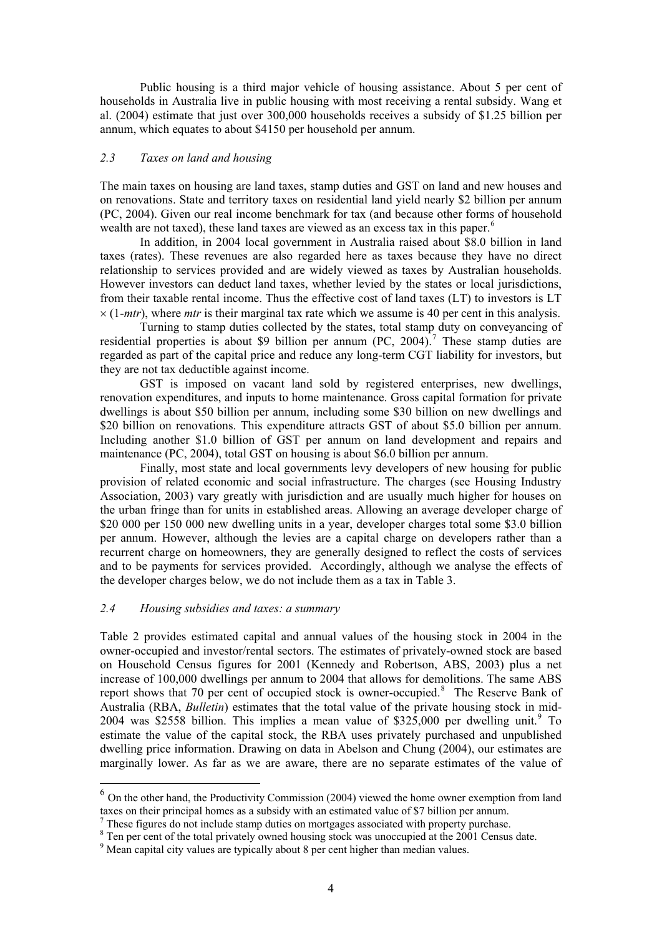Public housing is a third major vehicle of housing assistance. About 5 per cent of households in Australia live in public housing with most receiving a rental subsidy. Wang et al. (2004) estimate that just over 300,000 households receives a subsidy of \$1.25 billion per annum, which equates to about \$4150 per household per annum.

## *2.3 Taxes on land and housing*

The main taxes on housing are land taxes, stamp duties and GST on land and new houses and on renovations. State and territory taxes on residential land yield nearly \$2 billion per annum (PC, 2004). Given our real income benchmark for tax (and because other forms of household wealth are not taxed), these land taxes are viewed as an excess tax in this paper.<sup>[6](#page-3-0)</sup>

In addition, in 2004 local government in Australia raised about \$8.0 billion in land taxes (rates). These revenues are also regarded here as taxes because they have no direct relationship to services provided and are widely viewed as taxes by Australian households. However investors can deduct land taxes, whether levied by the states or local jurisdictions, from their taxable rental income. Thus the effective cost of land taxes (LT) to investors is LT  $\times$  (1-*mtr*), where *mtr* is their marginal tax rate which we assume is 40 per cent in this analysis.

Turning to stamp duties collected by the states, total stamp duty on conveyancing of residential properties is about \$9 billion per annum  $(PC, 2004).$ <sup>[7](#page-3-1)</sup> These stamp duties are regarded as part of the capital price and reduce any long-term CGT liability for investors, but they are not tax deductible against income.

GST is imposed on vacant land sold by registered enterprises, new dwellings, renovation expenditures, and inputs to home maintenance. Gross capital formation for private dwellings is about \$50 billion per annum, including some \$30 billion on new dwellings and \$20 billion on renovations. This expenditure attracts GST of about \$5.0 billion per annum. Including another \$1.0 billion of GST per annum on land development and repairs and maintenance (PC, 2004), total GST on housing is about \$6.0 billion per annum.

Finally, most state and local governments levy developers of new housing for public provision of related economic and social infrastructure. The charges (see Housing Industry Association, 2003) vary greatly with jurisdiction and are usually much higher for houses on the urban fringe than for units in established areas. Allowing an average developer charge of \$20 000 per 150 000 new dwelling units in a year, developer charges total some \$3.0 billion per annum. However, although the levies are a capital charge on developers rather than a recurrent charge on homeowners, they are generally designed to reflect the costs of services and to be payments for services provided. Accordingly, although we analyse the effects of the developer charges below, we do not include them as a tax in Table 3.

#### *2.4 Housing subsidies and taxes: a summary*

<u>.</u>

Table 2 provides estimated capital and annual values of the housing stock in 2004 in the owner-occupied and investor/rental sectors. The estimates of privately-owned stock are based on Household Census figures for 2001 (Kennedy and Robertson, ABS, 2003) plus a net increase of 100,000 dwellings per annum to 2004 that allows for demolitions. The same ABS report shows that 70 per cent of occupied stock is owner-occupied.<sup>[8](#page-3-2)</sup> The Reserve Bank of Australia (RBA, *Bulletin*) estimates that the total value of the private housing stock in mid-2004 was \$2558 billion. This implies a mean value of \$325,000 per dwelling unit.<sup>[9](#page-3-3)</sup> To estimate the value of the capital stock, the RBA uses privately purchased and unpublished dwelling price information. Drawing on data in Abelson and Chung (2004), our estimates are marginally lower. As far as we are aware, there are no separate estimates of the value of

<span id="page-3-0"></span> $6$  On the other hand, the Productivity Commission (2004) viewed the home owner exemption from land taxes on their principal homes as a subsidy with an estimated value of \$7 billion per annum.

 $\frac{7}{7}$  These figures do not include stamp duties on mortgages associated with property purchase.

<span id="page-3-1"></span>These figures do not include stamp duties on mortgages associated with property purchase.<br><sup>8</sup> Ten per cent of the total privately owned housing stock was unoccupied at the 2001 Census date.

<span id="page-3-3"></span><span id="page-3-2"></span><sup>&</sup>lt;sup>9</sup> Mean capital city values are typically about 8 per cent higher than median values.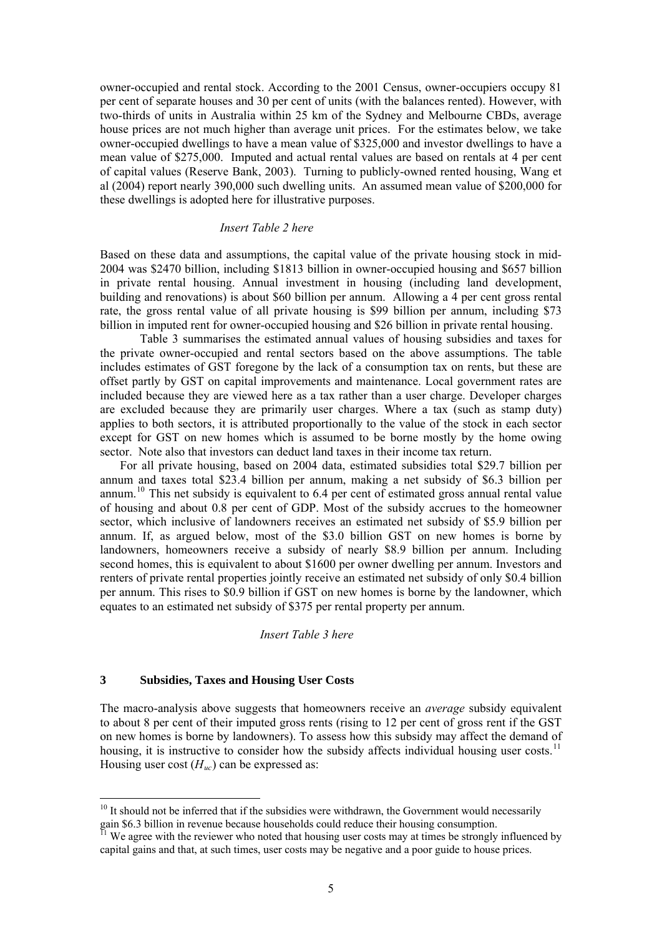owner-occupied and rental stock. According to the 2001 Census, owner-occupiers occupy 81 per cent of separate houses and 30 per cent of units (with the balances rented). However, with two-thirds of units in Australia within 25 km of the Sydney and Melbourne CBDs, average house prices are not much higher than average unit prices. For the estimates below, we take owner-occupied dwellings to have a mean value of \$325,000 and investor dwellings to have a mean value of \$275,000. Imputed and actual rental values are based on rentals at 4 per cent of capital values (Reserve Bank, 2003). Turning to publicly-owned rented housing, Wang et al (2004) report nearly 390,000 such dwelling units. An assumed mean value of \$200,000 for these dwellings is adopted here for illustrative purposes.

#### *Insert Table 2 here*

Based on these data and assumptions, the capital value of the private housing stock in mid-2004 was \$2470 billion, including \$1813 billion in owner-occupied housing and \$657 billion in private rental housing. Annual investment in housing (including land development, building and renovations) is about \$60 billion per annum. Allowing a 4 per cent gross rental rate, the gross rental value of all private housing is \$99 billion per annum, including \$73 billion in imputed rent for owner-occupied housing and \$26 billion in private rental housing.

Table 3 summarises the estimated annual values of housing subsidies and taxes for the private owner-occupied and rental sectors based on the above assumptions. The table includes estimates of GST foregone by the lack of a consumption tax on rents, but these are offset partly by GST on capital improvements and maintenance. Local government rates are included because they are viewed here as a tax rather than a user charge. Developer charges are excluded because they are primarily user charges. Where a tax (such as stamp duty) applies to both sectors, it is attributed proportionally to the value of the stock in each sector except for GST on new homes which is assumed to be borne mostly by the home owing sector. Note also that investors can deduct land taxes in their income tax return.

For all private housing, based on 2004 data, estimated subsidies total \$29.7 billion per annum and taxes total \$23.4 billion per annum, making a net subsidy of \$6.3 billion per annum.[10](#page-4-0) This net subsidy is equivalent to 6.4 per cent of estimated gross annual rental value of housing and about 0.8 per cent of GDP. Most of the subsidy accrues to the homeowner sector, which inclusive of landowners receives an estimated net subsidy of \$5.9 billion per annum. If, as argued below, most of the \$3.0 billion GST on new homes is borne by landowners, homeowners receive a subsidy of nearly \$8.9 billion per annum. Including second homes, this is equivalent to about \$1600 per owner dwelling per annum. Investors and renters of private rental properties jointly receive an estimated net subsidy of only \$0.4 billion per annum. This rises to \$0.9 billion if GST on new homes is borne by the landowner, which equates to an estimated net subsidy of \$375 per rental property per annum.

#### *Insert Table 3 here*

#### **3 Subsidies, Taxes and Housing User Costs**

1

The macro-analysis above suggests that homeowners receive an *average* subsidy equivalent to about 8 per cent of their imputed gross rents (rising to 12 per cent of gross rent if the GST on new homes is borne by landowners). To assess how this subsidy may affect the demand of housing, it is instructive to consider how the subsidy affects individual housing user costs.<sup>[11](#page-4-1)</sup> Housing user cost  $(H_{uc})$  can be expressed as:

<span id="page-4-0"></span> $10$  It should not be inferred that if the subsidies were withdrawn, the Government would necessarily gain \$6.3 billion in revenue because households could reduce their housing consumption.

<span id="page-4-1"></span> $\mu$  We agree with the reviewer who noted that housing user costs may at times be strongly influenced by capital gains and that, at such times, user costs may be negative and a poor guide to house prices.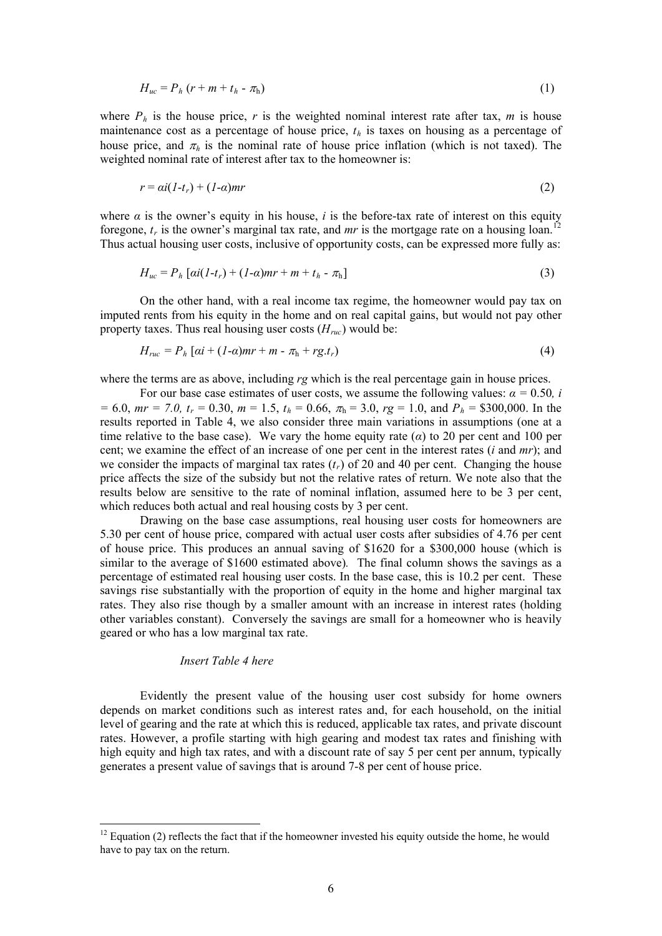$$
H_{uc} = P_h \left( r + m + t_h - \pi_h \right) \tag{1}
$$

where  $P_h$  is the house price, r is the weighted nominal interest rate after tax, m is house maintenance cost as a percentage of house price,  $t<sub>h</sub>$  is taxes on housing as a percentage of house price, and  $\pi_h$  is the nominal rate of house price inflation (which is not taxed). The weighted nominal rate of interest after tax to the homeowner is:

$$
r = ai(I-t_r) + (I-a)mr
$$
\n(2)

where  $\alpha$  is the owner's equity in his house, *i* is the before-tax rate of interest on this equity foregone,  $t_r$  is the owner's marginal tax rate, and *mr* is the mortgage rate on a housing loan.<sup>[12](#page-5-0)</sup> Thus actual housing user costs, inclusive of opportunity costs, can be expressed more fully as:

$$
H_{uc} = P_h [ai(I - t_r) + (I - a)mr + m + t_h - \pi_h]
$$
\n(3)

On the other hand, with a real income tax regime, the homeowner would pay tax on imputed rents from his equity in the home and on real capital gains, but would not pay other property taxes. Thus real housing user costs  $(H_{ruc})$  would be:

$$
H_{ruc} = P_h [ai + (1-\alpha)mr + m - \pi_h + rg.t_r)
$$
\n
$$
\tag{4}
$$

where the terms are as above, including  $r<sub>g</sub>$  which is the real percentage gain in house prices.

For our base case estimates of user costs, we assume the following values:  $\alpha = 0.50$ , *i*  $= 6.0$ ,  $mr = 7.0$ ,  $t_r = 0.30$ ,  $m = 1.5$ ,  $t_h = 0.66$ ,  $\pi_h = 3.0$ ,  $rg = 1.0$ , and  $P_h = $300,000$ . In the results reported in Table 4, we also consider three main variations in assumptions (one at a time relative to the base case). We vary the home equity rate  $(\alpha)$  to 20 per cent and 100 per cent; we examine the effect of an increase of one per cent in the interest rates (*i* and *mr*); and we consider the impacts of marginal tax rates  $(t_r)$  of 20 and 40 per cent. Changing the house price affects the size of the subsidy but not the relative rates of return. We note also that the results below are sensitive to the rate of nominal inflation, assumed here to be 3 per cent, which reduces both actual and real housing costs by 3 per cent.

Drawing on the base case assumptions, real housing user costs for homeowners are 5.30 per cent of house price, compared with actual user costs after subsidies of 4.76 per cent of house price. This produces an annual saving of \$1620 for a \$300,000 house (which is similar to the average of \$1600 estimated above)*.* The final column shows the savings as a percentage of estimated real housing user costs. In the base case, this is 10.2 per cent. These savings rise substantially with the proportion of equity in the home and higher marginal tax rates. They also rise though by a smaller amount with an increase in interest rates (holding other variables constant). Conversely the savings are small for a homeowner who is heavily geared or who has a low marginal tax rate.

#### *Insert Table 4 here*

<u>.</u>

Evidently the present value of the housing user cost subsidy for home owners depends on market conditions such as interest rates and, for each household, on the initial level of gearing and the rate at which this is reduced, applicable tax rates, and private discount rates. However, a profile starting with high gearing and modest tax rates and finishing with high equity and high tax rates, and with a discount rate of say 5 per cent per annum, typically generates a present value of savings that is around 7-8 per cent of house price.

<span id="page-5-0"></span> $12$  Equation (2) reflects the fact that if the homeowner invested his equity outside the home, he would have to pay tax on the return.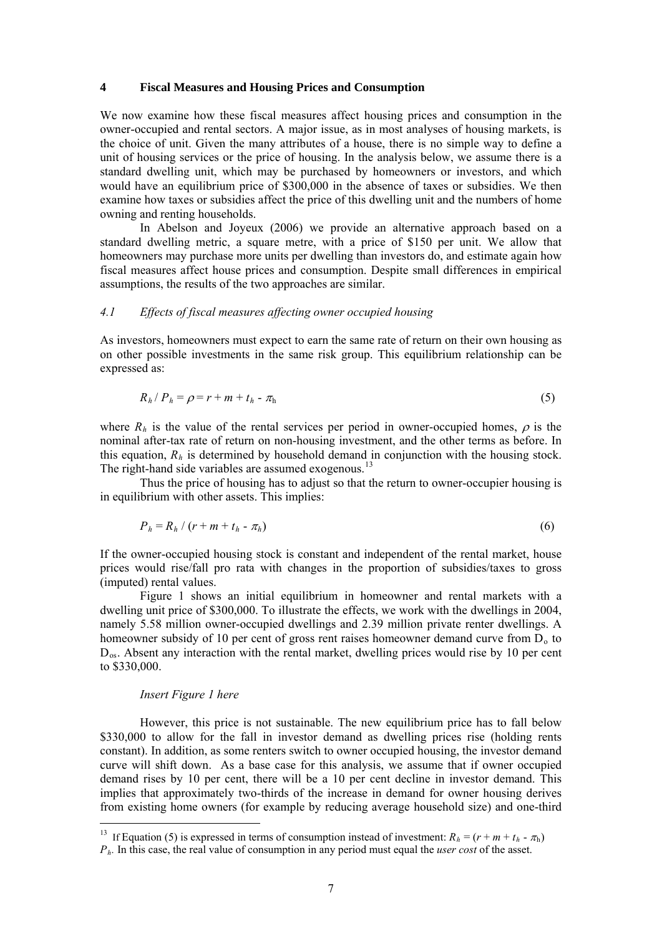#### **4 Fiscal Measures and Housing Prices and Consumption**

We now examine how these fiscal measures affect housing prices and consumption in the owner-occupied and rental sectors. A major issue, as in most analyses of housing markets, is the choice of unit. Given the many attributes of a house, there is no simple way to define a unit of housing services or the price of housing. In the analysis below, we assume there is a standard dwelling unit, which may be purchased by homeowners or investors, and which would have an equilibrium price of \$300,000 in the absence of taxes or subsidies. We then examine how taxes or subsidies affect the price of this dwelling unit and the numbers of home owning and renting households.

In Abelson and Joyeux (2006) we provide an alternative approach based on a standard dwelling metric, a square metre, with a price of \$150 per unit. We allow that homeowners may purchase more units per dwelling than investors do, and estimate again how fiscal measures affect house prices and consumption. Despite small differences in empirical assumptions, the results of the two approaches are similar.

#### *4.1 Effects of fiscal measures affecting owner occupied housing*

As investors, homeowners must expect to earn the same rate of return on their own housing as on other possible investments in the same risk group. This equilibrium relationship can be expressed as:

$$
R_h/P_h = \rho = r + m + t_h - \pi_h \tag{5}
$$

where  $R_h$  is the value of the rental services per period in owner-occupied homes,  $\rho$  is the nominal after-tax rate of return on non-housing investment, and the other terms as before. In this equation,  $R<sub>h</sub>$  is determined by household demand in conjunction with the housing stock. The right-hand side variables are assumed exogenous.<sup>[13](#page-6-0)</sup>

Thus the price of housing has to adjust so that the return to owner-occupier housing is in equilibrium with other assets. This implies:

$$
P_h = R_h / (r + m + t_h - \pi_h) \tag{6}
$$

If the owner-occupied housing stock is constant and independent of the rental market, house prices would rise/fall pro rata with changes in the proportion of subsidies/taxes to gross (imputed) rental values.

Figure 1 shows an initial equilibrium in homeowner and rental markets with a dwelling unit price of \$300,000. To illustrate the effects, we work with the dwellings in 2004, namely 5.58 million owner-occupied dwellings and 2.39 million private renter dwellings. A homeowner subsidy of 10 per cent of gross rent raises homeowner demand curve from  $D<sub>o</sub>$  to  $D_{\text{os}}$ . Absent any interaction with the rental market, dwelling prices would rise by 10 per cent to \$330,000.

#### *Insert Figure 1 here*

<u>.</u>

However, this price is not sustainable. The new equilibrium price has to fall below \$330,000 to allow for the fall in investor demand as dwelling prices rise (holding rents constant). In addition, as some renters switch to owner occupied housing, the investor demand curve will shift down. As a base case for this analysis, we assume that if owner occupied demand rises by 10 per cent, there will be a 10 per cent decline in investor demand. This implies that approximately two-thirds of the increase in demand for owner housing derives from existing home owners (for example by reducing average household size) and one-third

<span id="page-6-0"></span> $P<sub>h</sub>$ . In this case, the real value of consumption in any period must equal the *user cost* of the asset. <sup>13</sup> If Equation (5) is expressed in terms of consumption instead of investment:  $R_h = (r + m + t_h - \pi_h)$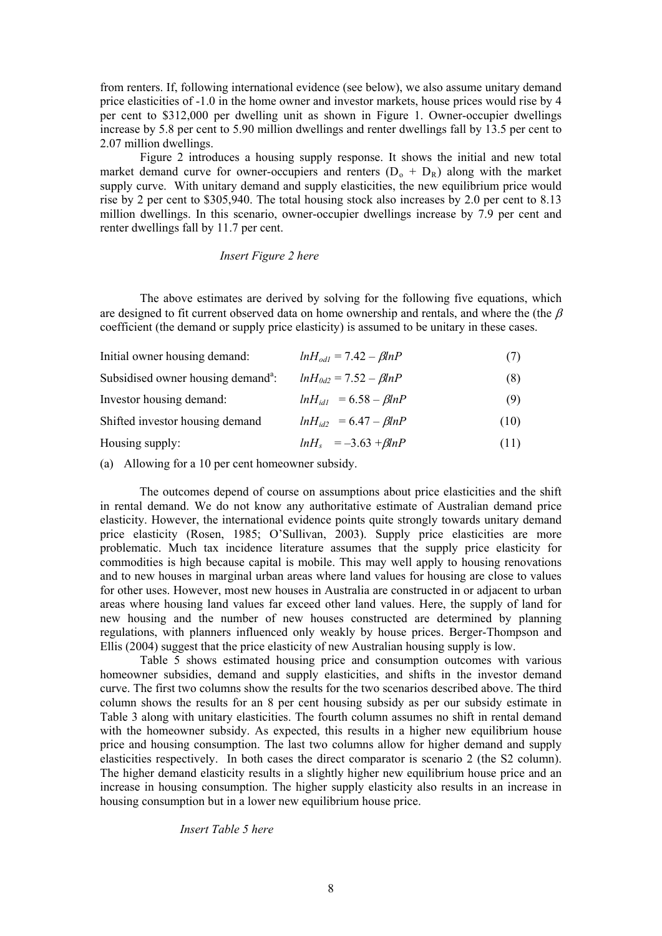from renters. If, following international evidence (see below), we also assume unitary demand price elasticities of -1.0 in the home owner and investor markets, house prices would rise by 4 per cent to \$312,000 per dwelling unit as shown in Figure 1. Owner-occupier dwellings increase by 5.8 per cent to 5.90 million dwellings and renter dwellings fall by 13.5 per cent to 2.07 million dwellings.

Figure 2 introduces a housing supply response. It shows the initial and new total market demand curve for owner-occupiers and renters  $(D_0 + D_R)$  along with the market supply curve. With unitary demand and supply elasticities, the new equilibrium price would rise by 2 per cent to \$305,940. The total housing stock also increases by 2.0 per cent to 8.13 million dwellings. In this scenario, owner-occupier dwellings increase by 7.9 per cent and renter dwellings fall by 11.7 per cent.

#### *Insert Figure 2 here*

The above estimates are derived by solving for the following five equations, which are designed to fit current observed data on home ownership and rentals, and where the (the  $\beta$ ) coefficient (the demand or supply price elasticity) is assumed to be unitary in these cases.

| Initial owner housing demand:                  | $lnH_{od1} = 7.42 - \beta lnP$ | (7)  |
|------------------------------------------------|--------------------------------|------|
| Subsidised owner housing demand <sup>a</sup> : | $lnH_{0d2} = 7.52 - \beta lnP$ | (8)  |
| Investor housing demand:                       | $lnH_{id1} = 6.58 - \beta lnP$ | (9)  |
| Shifted investor housing demand                | $lnH_{id2} = 6.47 - \beta lnP$ | (10) |
| Housing supply:                                | $lnH_s = -3.63 + \beta lnP$    | (11) |

(a) Allowing for a 10 per cent homeowner subsidy.

The outcomes depend of course on assumptions about price elasticities and the shift in rental demand. We do not know any authoritative estimate of Australian demand price elasticity. However, the international evidence points quite strongly towards unitary demand price elasticity (Rosen, 1985; O'Sullivan, 2003). Supply price elasticities are more problematic. Much tax incidence literature assumes that the supply price elasticity for commodities is high because capital is mobile. This may well apply to housing renovations and to new houses in marginal urban areas where land values for housing are close to values for other uses. However, most new houses in Australia are constructed in or adjacent to urban areas where housing land values far exceed other land values. Here, the supply of land for new housing and the number of new houses constructed are determined by planning regulations, with planners influenced only weakly by house prices. Berger-Thompson and Ellis (2004) suggest that the price elasticity of new Australian housing supply is low.

 Table 5 shows estimated housing price and consumption outcomes with various homeowner subsidies, demand and supply elasticities, and shifts in the investor demand curve. The first two columns show the results for the two scenarios described above. The third column shows the results for an 8 per cent housing subsidy as per our subsidy estimate in Table 3 along with unitary elasticities. The fourth column assumes no shift in rental demand with the homeowner subsidy. As expected, this results in a higher new equilibrium house price and housing consumption. The last two columns allow for higher demand and supply elasticities respectively. In both cases the direct comparator is scenario 2 (the S2 column). The higher demand elasticity results in a slightly higher new equilibrium house price and an increase in housing consumption. The higher supply elasticity also results in an increase in housing consumption but in a lower new equilibrium house price.

#### *Insert Table 5 here*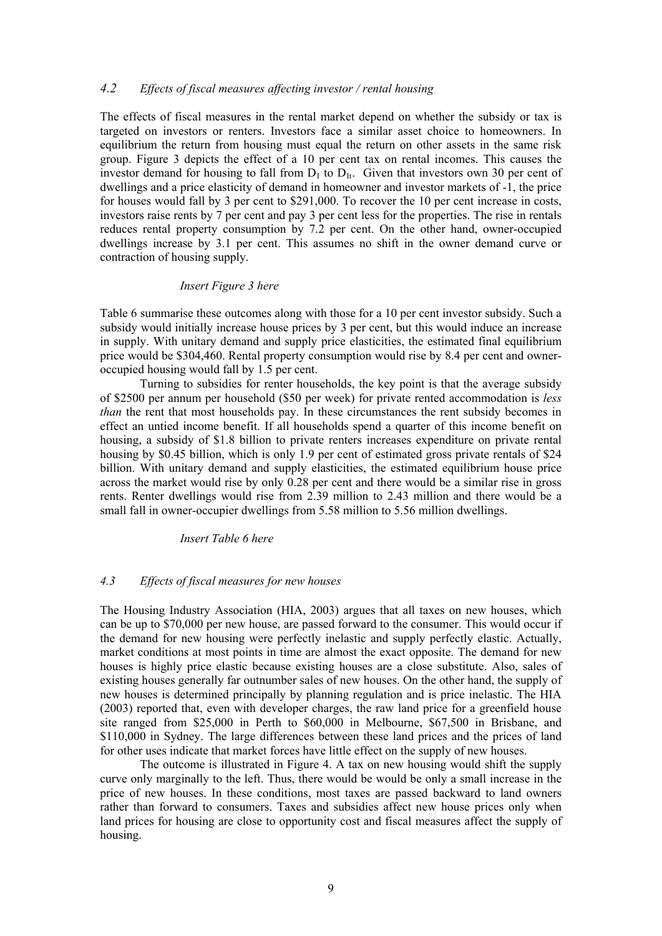#### *4.2 Effects of fiscal measures affecting investor / rental housing*

The effects of fiscal measures in the rental market depend on whether the subsidy or tax is targeted on investors or renters. Investors face a similar asset choice to homeowners. In equilibrium the return from housing must equal the return on other assets in the same risk group. Figure 3 depicts the effect of a 10 per cent tax on rental incomes. This causes the investor demand for housing to fall from  $D<sub>I</sub>$  to  $D<sub>II</sub>$ . Given that investors own 30 per cent of dwellings and a price elasticity of demand in homeowner and investor markets of -1, the price for houses would fall by 3 per cent to \$291,000. To recover the 10 per cent increase in costs, investors raise rents by 7 per cent and pay 3 per cent less for the properties. The rise in rentals reduces rental property consumption by 7.2 per cent. On the other hand, owner-occupied dwellings increase by 3.1 per cent. This assumes no shift in the owner demand curve or contraction of housing supply.

#### *Insert Figure 3 here*

Table 6 summarise these outcomes along with those for a 10 per cent investor subsidy. Such a subsidy would initially increase house prices by 3 per cent, but this would induce an increase in supply. With unitary demand and supply price elasticities, the estimated final equilibrium price would be \$304,460. Rental property consumption would rise by 8.4 per cent and owneroccupied housing would fall by 1.5 per cent.

Turning to subsidies for renter households, the key point is that the average subsidy of \$2500 per annum per household (\$50 per week) for private rented accommodation is *less than* the rent that most households pay. In these circumstances the rent subsidy becomes in effect an untied income benefit. If all households spend a quarter of this income benefit on housing, a subsidy of \$1.8 billion to private renters increases expenditure on private rental housing by \$0.45 billion, which is only 1.9 per cent of estimated gross private rentals of \$24 billion. With unitary demand and supply elasticities, the estimated equilibrium house price across the market would rise by only 0.28 per cent and there would be a similar rise in gross rents. Renter dwellings would rise from 2.39 million to 2.43 million and there would be a small fall in owner-occupier dwellings from 5.58 million to 5.56 million dwellings.

#### *Insert Table 6 here*

#### *4.3 Effects of fiscal measures for new houses*

The Housing Industry Association (HIA, 2003) argues that all taxes on new houses, which can be up to \$70,000 per new house, are passed forward to the consumer. This would occur if the demand for new housing were perfectly inelastic and supply perfectly elastic. Actually, market conditions at most points in time are almost the exact opposite. The demand for new houses is highly price elastic because existing houses are a close substitute. Also, sales of existing houses generally far outnumber sales of new houses. On the other hand, the supply of new houses is determined principally by planning regulation and is price inelastic. The HIA (2003) reported that, even with developer charges, the raw land price for a greenfield house site ranged from \$25,000 in Perth to \$60,000 in Melbourne, \$67,500 in Brisbane, and \$110,000 in Sydney. The large differences between these land prices and the prices of land for other uses indicate that market forces have little effect on the supply of new houses.

The outcome is illustrated in Figure 4. A tax on new housing would shift the supply curve only marginally to the left. Thus, there would be would be only a small increase in the price of new houses. In these conditions, most taxes are passed backward to land owners rather than forward to consumers. Taxes and subsidies affect new house prices only when land prices for housing are close to opportunity cost and fiscal measures affect the supply of housing.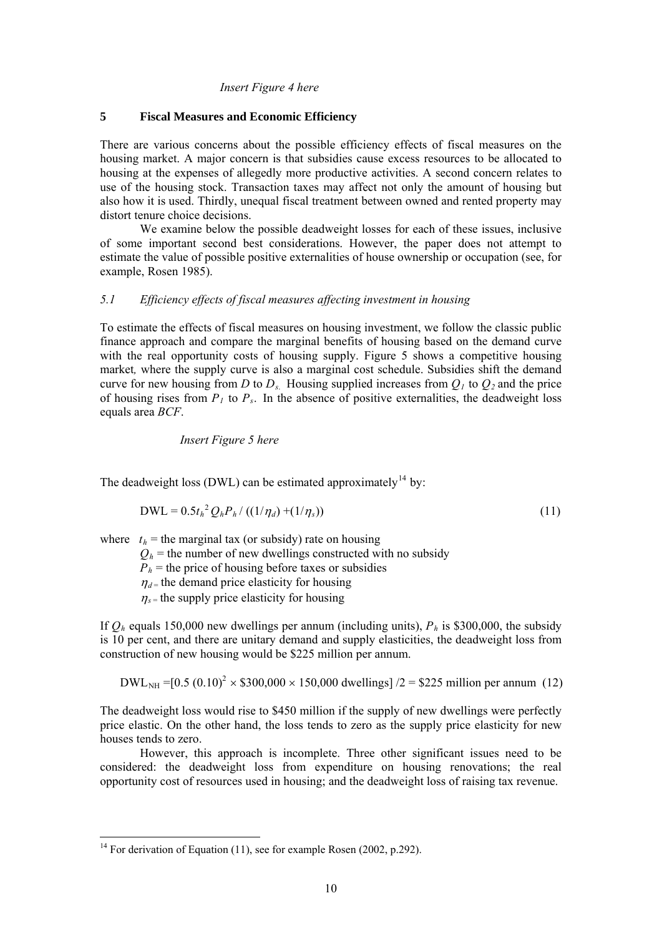#### *Insert Figure 4 here*

#### **5 Fiscal Measures and Economic Efficiency**

There are various concerns about the possible efficiency effects of fiscal measures on the housing market. A major concern is that subsidies cause excess resources to be allocated to housing at the expenses of allegedly more productive activities. A second concern relates to use of the housing stock. Transaction taxes may affect not only the amount of housing but also how it is used. Thirdly, unequal fiscal treatment between owned and rented property may distort tenure choice decisions.

 We examine below the possible deadweight losses for each of these issues, inclusive of some important second best considerations. However, the paper does not attempt to estimate the value of possible positive externalities of house ownership or occupation (see, for example, Rosen 1985).

## *5.1 Efficiency effects of fiscal measures affecting investment in housing*

To estimate the effects of fiscal measures on housing investment, we follow the classic public finance approach and compare the marginal benefits of housing based on the demand curve with the real opportunity costs of housing supply. Figure 5 shows a competitive housing market*,* where the supply curve is also a marginal cost schedule. Subsidies shift the demand curve for new housing from *D* to *D<sub>s</sub>*. Housing supplied increases from  $O<sub>1</sub>$  to  $O<sub>2</sub>$  and the price of housing rises from  $P_1$  to  $P_s$ . In the absence of positive externalities, the deadweight loss equals area *BCF*.

*Insert Figure 5 here* 

The deadweight loss (DWL) can be estimated approximately<sup>[14](#page-9-0)</sup> by:

$$
DWL = 0.5t_h^2 Q_h P_h / ((1/\eta_d) + (1/\eta_s))
$$
\n(11)

where  $t<sub>h</sub>$  = the marginal tax (or subsidy) rate on housing

 $Q_h$  = the number of new dwellings constructed with no subsidy

 $P_h$  = the price of housing before taxes or subsidies

 $\eta_{d}$  = the demand price elasticity for housing

 $\eta_{s}$  = the supply price elasticity for housing

If  $Q_h$  equals 150,000 new dwellings per annum (including units),  $P_h$  is \$300,000, the subsidy is 10 per cent, and there are unitary demand and supply elasticities, the deadweight loss from construction of new housing would be \$225 million per annum.

 $DWL<sub>NH</sub> = [0.5 (0.10)<sup>2</sup> \times $300,000 \times 150,000$  dwellings] /2 = \$225 million per annum (12)

The deadweight loss would rise to \$450 million if the supply of new dwellings were perfectly price elastic. On the other hand, the loss tends to zero as the supply price elasticity for new houses tends to zero.

 However, this approach is incomplete. Three other significant issues need to be considered: the deadweight loss from expenditure on housing renovations; the real opportunity cost of resources used in housing; and the deadweight loss of raising tax revenue.

1

<span id="page-9-0"></span><sup>&</sup>lt;sup>14</sup> For derivation of Equation (11), see for example Rosen (2002, p.292).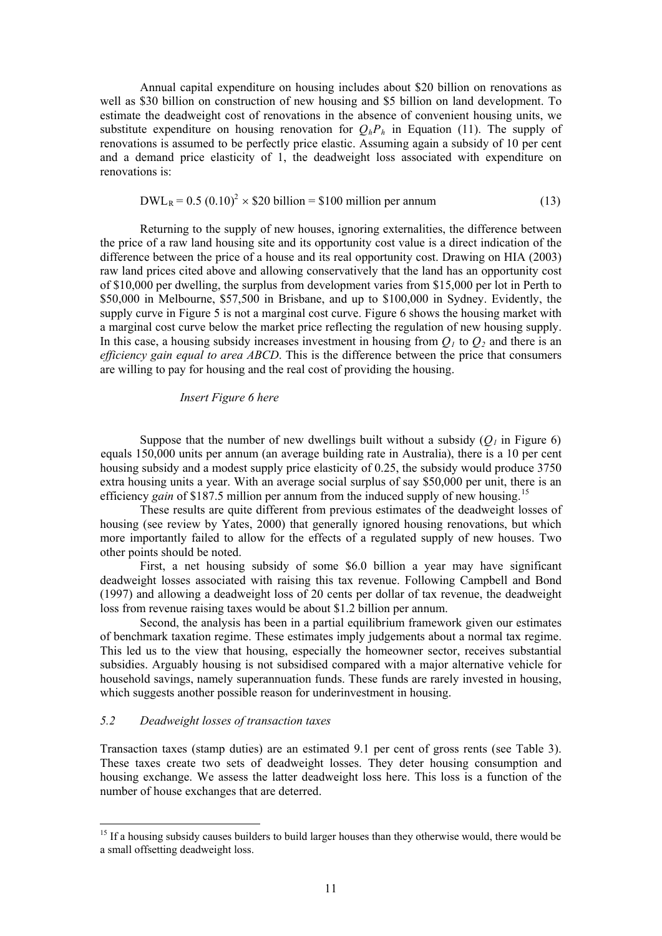Annual capital expenditure on housing includes about \$20 billion on renovations as well as \$30 billion on construction of new housing and \$5 billion on land development. To estimate the deadweight cost of renovations in the absence of convenient housing units, we substitute expenditure on housing renovation for  $O<sub>h</sub>P<sub>h</sub>$  in Equation (11). The supply of renovations is assumed to be perfectly price elastic. Assuming again a subsidy of 10 per cent and a demand price elasticity of 1, the deadweight loss associated with expenditure on renovations is:

$$
DWL_R = 0.5 (0.10)^2 \times $20 \text{ billion} = $100 \text{ million per annum}
$$
 (13)

Returning to the supply of new houses, ignoring externalities, the difference between the price of a raw land housing site and its opportunity cost value is a direct indication of the difference between the price of a house and its real opportunity cost. Drawing on HIA (2003) raw land prices cited above and allowing conservatively that the land has an opportunity cost of \$10,000 per dwelling, the surplus from development varies from \$15,000 per lot in Perth to \$50,000 in Melbourne, \$57,500 in Brisbane, and up to \$100,000 in Sydney. Evidently, the supply curve in Figure 5 is not a marginal cost curve. Figure 6 shows the housing market with a marginal cost curve below the market price reflecting the regulation of new housing supply. In this case, a housing subsidy increases investment in housing from  $O<sub>1</sub>$  to  $O<sub>2</sub>$  and there is an *efficiency gain equal to area ABCD*. This is the difference between the price that consumers are willing to pay for housing and the real cost of providing the housing.

#### *Insert Figure 6 here*

Suppose that the number of new dwellings built without a subsidy  $(O<sub>i</sub>$  in Figure 6) equals 150,000 units per annum (an average building rate in Australia), there is a 10 per cent housing subsidy and a modest supply price elasticity of 0.25, the subsidy would produce 3750 extra housing units a year. With an average social surplus of say \$50,000 per unit, there is an efficiency *gain* of \$187.5 million per annum from the induced supply of new housing.<sup>[15](#page-10-0)</sup>

These results are quite different from previous estimates of the deadweight losses of housing (see review by Yates, 2000) that generally ignored housing renovations, but which more importantly failed to allow for the effects of a regulated supply of new houses. Two other points should be noted.

First, a net housing subsidy of some \$6.0 billion a year may have significant deadweight losses associated with raising this tax revenue. Following Campbell and Bond (1997) and allowing a deadweight loss of 20 cents per dollar of tax revenue, the deadweight loss from revenue raising taxes would be about \$1.2 billion per annum.

Second, the analysis has been in a partial equilibrium framework given our estimates of benchmark taxation regime. These estimates imply judgements about a normal tax regime. This led us to the view that housing, especially the homeowner sector, receives substantial subsidies. Arguably housing is not subsidised compared with a major alternative vehicle for household savings, namely superannuation funds. These funds are rarely invested in housing, which suggests another possible reason for underinvestment in housing.

#### *5.2 Deadweight losses of transaction taxes*

<u>.</u>

Transaction taxes (stamp duties) are an estimated 9.1 per cent of gross rents (see Table 3). These taxes create two sets of deadweight losses. They deter housing consumption and housing exchange. We assess the latter deadweight loss here. This loss is a function of the number of house exchanges that are deterred.

<span id="page-10-0"></span><sup>&</sup>lt;sup>15</sup> If a housing subsidy causes builders to build larger houses than they otherwise would, there would be a small offsetting deadweight loss.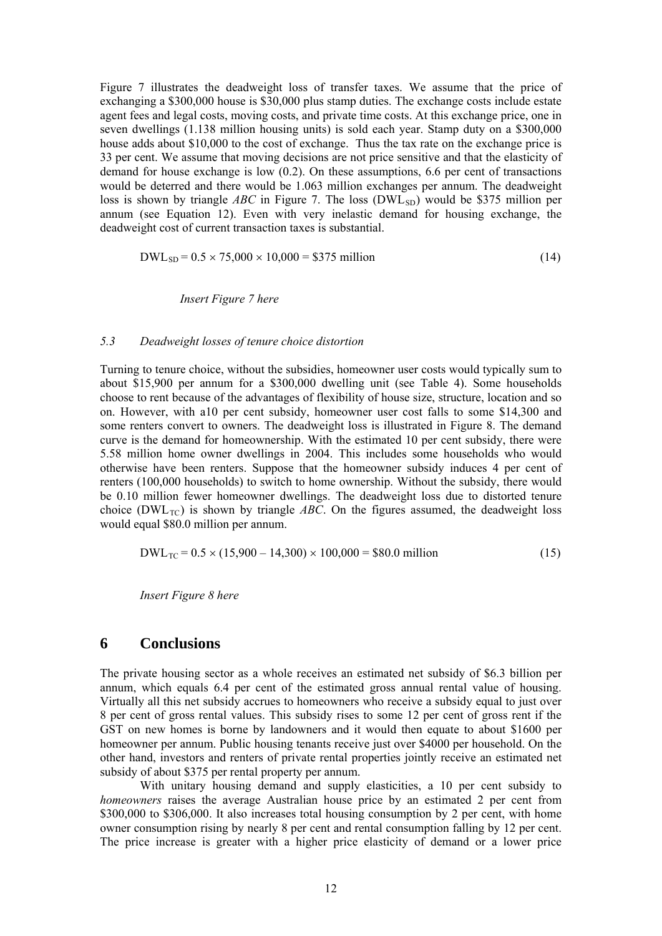Figure 7 illustrates the deadweight loss of transfer taxes. We assume that the price of exchanging a \$300,000 house is \$30,000 plus stamp duties. The exchange costs include estate agent fees and legal costs, moving costs, and private time costs. At this exchange price, one in seven dwellings (1.138 million housing units) is sold each year. Stamp duty on a \$300,000 house adds about \$10,000 to the cost of exchange. Thus the tax rate on the exchange price is 33 per cent. We assume that moving decisions are not price sensitive and that the elasticity of demand for house exchange is low (0.2). On these assumptions, 6.6 per cent of transactions would be deterred and there would be 1.063 million exchanges per annum. The deadweight loss is shown by triangle *ABC* in Figure 7. The loss (DWL<sub>SD</sub>) would be \$375 million per annum (see Equation 12). Even with very inelastic demand for housing exchange, the deadweight cost of current transaction taxes is substantial.

$$
DWL_{SD} = 0.5 \times 75,000 \times 10,000 = $375 \text{ million}
$$
 (14)

*Insert Figure 7 here* 

#### *5.3 Deadweight losses of tenure choice distortion*

Turning to tenure choice, without the subsidies, homeowner user costs would typically sum to about \$15,900 per annum for a \$300,000 dwelling unit (see Table 4). Some households choose to rent because of the advantages of flexibility of house size, structure, location and so on. However, with a10 per cent subsidy, homeowner user cost falls to some \$14,300 and some renters convert to owners. The deadweight loss is illustrated in Figure 8. The demand curve is the demand for homeownership. With the estimated 10 per cent subsidy, there were 5.58 million home owner dwellings in 2004. This includes some households who would otherwise have been renters. Suppose that the homeowner subsidy induces 4 per cent of renters (100,000 households) to switch to home ownership. Without the subsidy, there would be 0.10 million fewer homeowner dwellings. The deadweight loss due to distorted tenure choice (DWL<sub>TC</sub>) is shown by triangle  $ABC$ . On the figures assumed, the deadweight loss would equal \$80.0 million per annum.

$$
DWL_{TC} = 0.5 \times (15,900 - 14,300) \times 100,000 = $80.0 \text{ million}
$$
 (15)

*Insert Figure 8 here* 

## **6 Conclusions**

The private housing sector as a whole receives an estimated net subsidy of \$6.3 billion per annum, which equals 6.4 per cent of the estimated gross annual rental value of housing. Virtually all this net subsidy accrues to homeowners who receive a subsidy equal to just over 8 per cent of gross rental values. This subsidy rises to some 12 per cent of gross rent if the GST on new homes is borne by landowners and it would then equate to about \$1600 per homeowner per annum. Public housing tenants receive just over \$4000 per household. On the other hand, investors and renters of private rental properties jointly receive an estimated net subsidy of about \$375 per rental property per annum.

With unitary housing demand and supply elasticities, a 10 per cent subsidy to *homeowners* raises the average Australian house price by an estimated 2 per cent from \$300,000 to \$306,000. It also increases total housing consumption by 2 per cent, with home owner consumption rising by nearly 8 per cent and rental consumption falling by 12 per cent. The price increase is greater with a higher price elasticity of demand or a lower price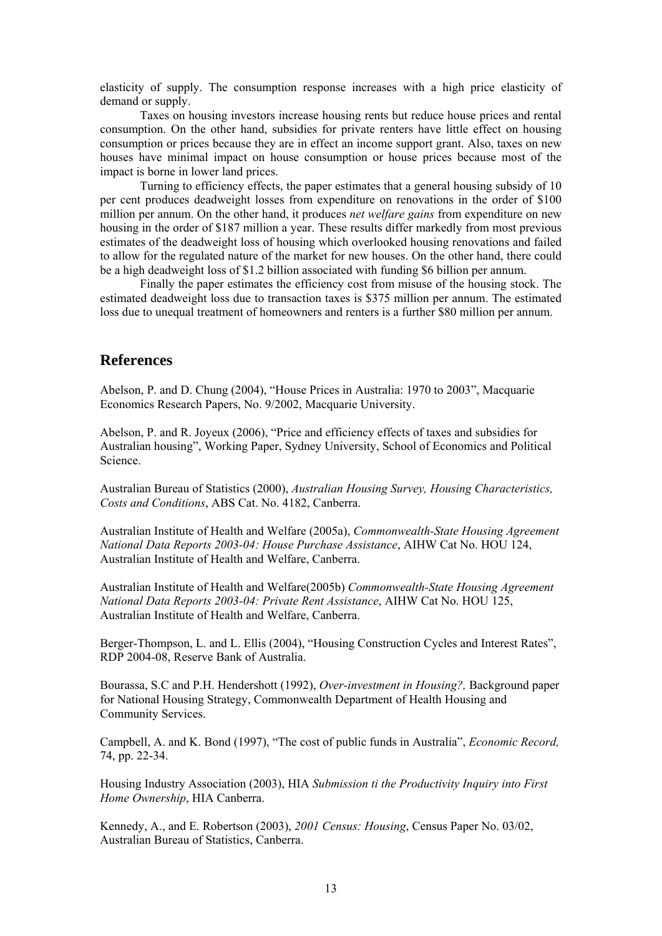elasticity of supply. The consumption response increases with a high price elasticity of demand or supply.

Taxes on housing investors increase housing rents but reduce house prices and rental consumption. On the other hand, subsidies for private renters have little effect on housing consumption or prices because they are in effect an income support grant. Also, taxes on new houses have minimal impact on house consumption or house prices because most of the impact is borne in lower land prices.

Turning to efficiency effects, the paper estimates that a general housing subsidy of 10 per cent produces deadweight losses from expenditure on renovations in the order of \$100 million per annum. On the other hand, it produces *net welfare gains* from expenditure on new housing in the order of \$187 million a year. These results differ markedly from most previous estimates of the deadweight loss of housing which overlooked housing renovations and failed to allow for the regulated nature of the market for new houses. On the other hand, there could be a high deadweight loss of \$1.2 billion associated with funding \$6 billion per annum.

Finally the paper estimates the efficiency cost from misuse of the housing stock. The estimated deadweight loss due to transaction taxes is \$375 million per annum. The estimated loss due to unequal treatment of homeowners and renters is a further \$80 million per annum.

## **References**

Abelson, P. and D. Chung (2004), "House Prices in Australia: 1970 to 2003", Macquarie Economics Research Papers, No. 9/2002, Macquarie University.

Abelson, P. and R. Joyeux (2006), "Price and efficiency effects of taxes and subsidies for Australian housing", Working Paper, Sydney University, School of Economics and Political Science.

Australian Bureau of Statistics (2000), *Australian Housing Survey, Housing Characteristics, Costs and Conditions*, ABS Cat. No. 4182, Canberra.

Australian Institute of Health and Welfare (2005a), *Commonwealth-State Housing Agreement National Data Reports 2003-04: House Purchase Assistance*, AIHW Cat No. HOU 124, Australian Institute of Health and Welfare, Canberra.

Australian Institute of Health and Welfare(2005b) *Commonwealth-State Housing Agreement National Data Reports 2003-04: Private Rent Assistance*, AIHW Cat No. HOU 125, Australian Institute of Health and Welfare, Canberra.

Berger-Thompson, L. and L. Ellis (2004), "Housing Construction Cycles and Interest Rates", RDP 2004-08, Reserve Bank of Australia.

Bourassa, S.C and P.H. Hendershott (1992), *Over-investment in Housing?,* Background paper for National Housing Strategy, Commonwealth Department of Health Housing and Community Services.

Campbell, A. and K. Bond (1997), "The cost of public funds in Australia", *Economic Record,*  74, pp. 22-34.

Housing Industry Association (2003), HIA *Submission ti the Productivity Inquiry into First Home Ownership*, HIA Canberra.

Kennedy, A., and E. Robertson (2003), *2001 Census: Housing*, Census Paper No. 03/02, Australian Bureau of Statistics, Canberra.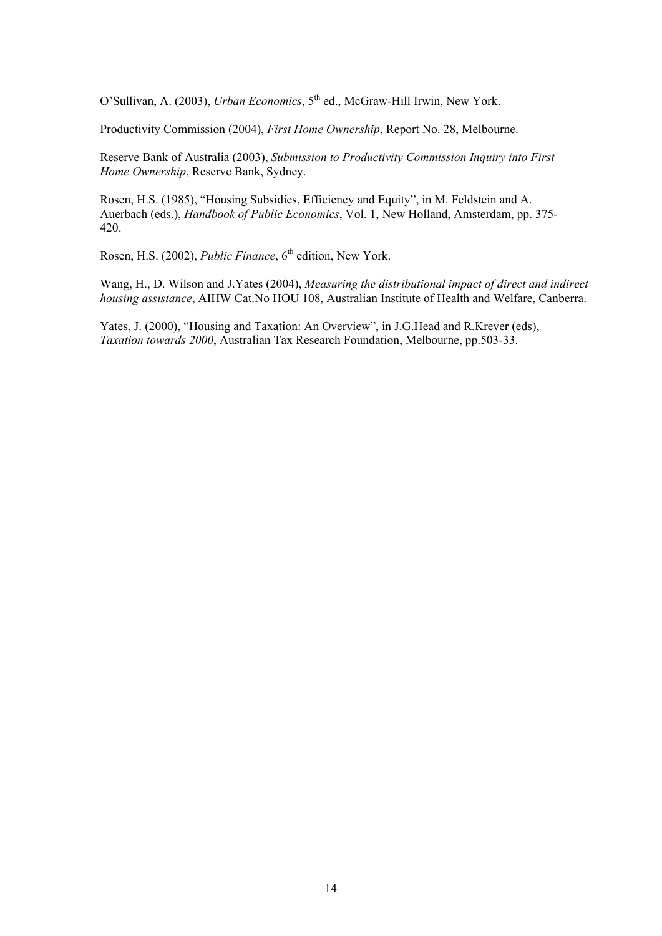O'Sullivan, A. (2003), *Urban Economics*, 5<sup>th</sup> ed., McGraw-Hill Irwin, New York.

Productivity Commission (2004), *First Home Ownership*, Report No. 28, Melbourne.

Reserve Bank of Australia (2003), *Submission to Productivity Commission Inquiry into First Home Ownership*, Reserve Bank, Sydney.

Rosen, H.S. (1985), "Housing Subsidies, Efficiency and Equity", in M. Feldstein and A. Auerbach (eds.), *Handbook of Public Economics*, Vol. 1, New Holland, Amsterdam, pp. 375- 420.

Rosen, H.S. (2002), *Public Finance*, 6<sup>th</sup> edition, New York.

Wang, H., D. Wilson and J.Yates (2004), *Measuring the distributional impact of direct and indirect housing assistance*, AIHW Cat.No HOU 108, Australian Institute of Health and Welfare, Canberra.

Yates, J. (2000), "Housing and Taxation: An Overview", in J.G.Head and R.Krever (eds), *Taxation towards 2000*, Australian Tax Research Foundation, Melbourne, pp.503-33.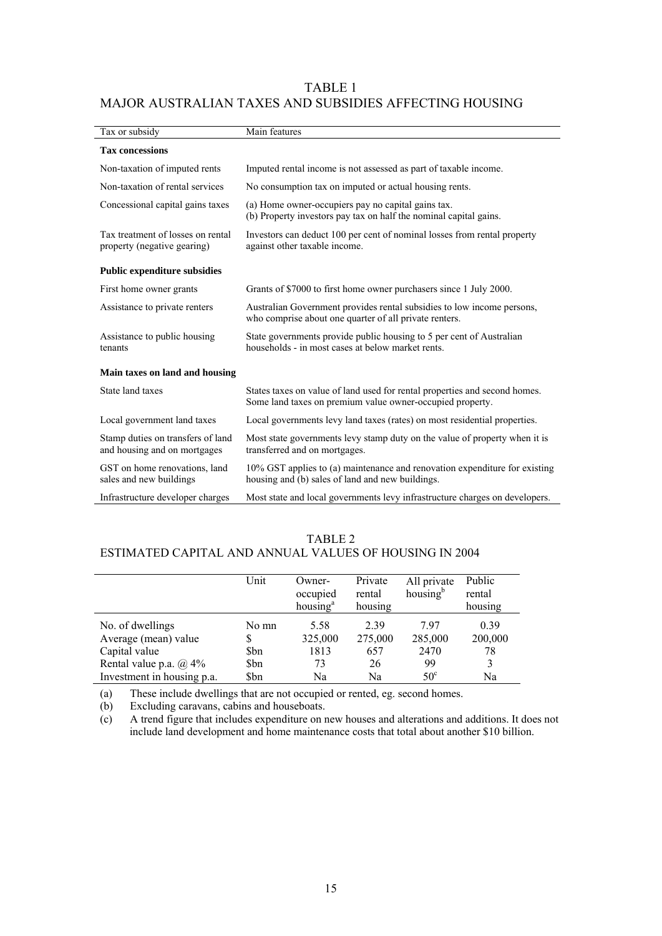## TABLE 1 MAJOR AUSTRALIAN TAXES AND SUBSIDIES AFFECTING HOUSING

| Tax or subsidy                                                    | Main features                                                                                                                           |
|-------------------------------------------------------------------|-----------------------------------------------------------------------------------------------------------------------------------------|
| <b>Tax concessions</b>                                            |                                                                                                                                         |
| Non-taxation of imputed rents                                     | Imputed rental income is not assessed as part of taxable income.                                                                        |
| Non-taxation of rental services                                   | No consumption tax on imputed or actual housing rents.                                                                                  |
| Concessional capital gains taxes                                  | (a) Home owner-occupiers pay no capital gains tax.<br>(b) Property investors pay tax on half the nominal capital gains.                 |
| Tax treatment of losses on rental<br>property (negative gearing)  | Investors can deduct 100 per cent of nominal losses from rental property<br>against other taxable income.                               |
| <b>Public expenditure subsidies</b>                               |                                                                                                                                         |
| First home owner grants                                           | Grants of \$7000 to first home owner purchasers since 1 July 2000.                                                                      |
| Assistance to private renters                                     | Australian Government provides rental subsidies to low income persons,<br>who comprise about one quarter of all private renters.        |
| Assistance to public housing<br>tenants                           | State governments provide public housing to 5 per cent of Australian<br>households - in most cases at below market rents.               |
| Main taxes on land and housing                                    |                                                                                                                                         |
| State land taxes                                                  | States taxes on value of land used for rental properties and second homes.<br>Some land taxes on premium value owner-occupied property. |
| Local government land taxes                                       | Local governments levy land taxes (rates) on most residential properties.                                                               |
| Stamp duties on transfers of land<br>and housing and on mortgages | Most state governments levy stamp duty on the value of property when it is<br>transferred and on mortgages.                             |
| GST on home renovations, land<br>sales and new buildings          | 10% GST applies to (a) maintenance and renovation expenditure for existing<br>housing and (b) sales of land and new buildings.          |
| Infrastructure developer charges                                  | Most state and local governments levy infrastructure charges on developers.                                                             |

#### TABLE 2

## ESTIMATED CAPITAL AND ANNUAL VALUES OF HOUSING IN 2004

|                               | Unit  | Owner-<br>occupied<br>housing <sup>a</sup> | Private<br>rental<br>housing | All private<br>housing <sup>b</sup> | Public<br>rental<br>housing |
|-------------------------------|-------|--------------------------------------------|------------------------------|-------------------------------------|-----------------------------|
| No. of dwellings              | No mn | 5.58                                       | 2.39                         | 797                                 | 0.39                        |
| Average (mean) value          | S     | 325,000                                    | 275,000                      | 285,000                             | 200,000                     |
| Capital value                 | Sbn   | 1813                                       | 657                          | 2470                                | 78                          |
| Rental value p.a. $\omega$ 4% | \$bn  | 73                                         | 26                           | 99                                  |                             |
| Investment in housing p.a.    | \$bn  | Na                                         | Na                           | $50^{\circ}$                        | Na                          |

(a) These include dwellings that are not occupied or rented, eg. second homes.

(b) Excluding caravans, cabins and houseboats.

(c) A trend figure that includes expenditure on new houses and alterations and additions. It does not include land development and home maintenance costs that total about another \$10 billion.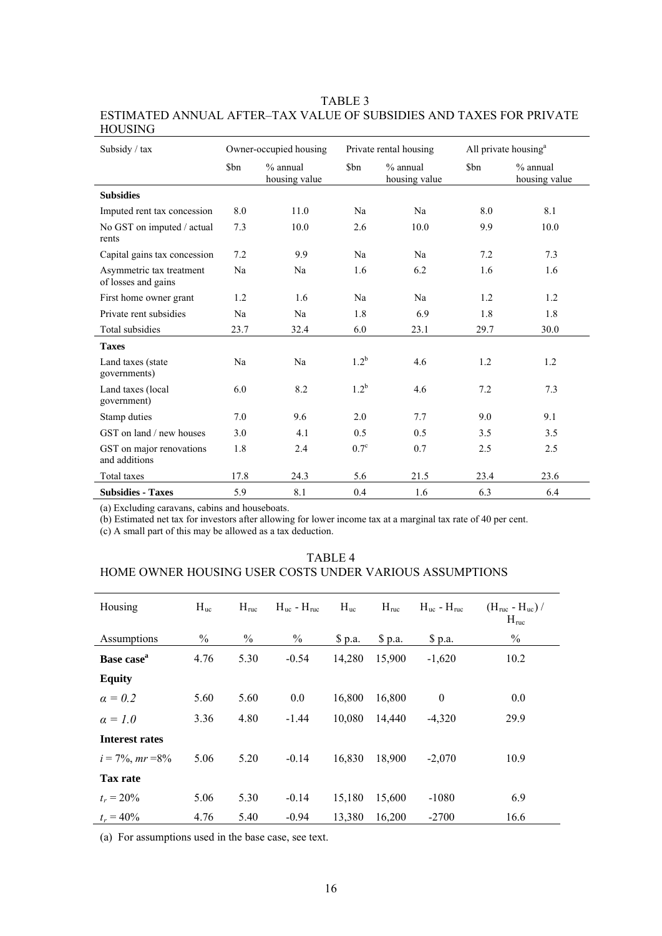TABLE 3

ESTIMATED ANNUAL AFTER–TAX VALUE OF SUBSIDIES AND TAXES FOR PRIVATE HOUSING

| Subsidy / tax                                   | Owner-occupied housing |                             |               | Private rental housing      |      | All private housing <sup>a</sup> |  |
|-------------------------------------------------|------------------------|-----------------------------|---------------|-----------------------------|------|----------------------------------|--|
|                                                 | \$bn                   | $%$ annual<br>housing value | \$bn          | $%$ annual<br>housing value | \$bn | $%$ annual<br>housing value      |  |
| <b>Subsidies</b>                                |                        |                             |               |                             |      |                                  |  |
| Imputed rent tax concession                     | 8.0                    | 11.0                        | Na            | Na                          | 8.0  | 8.1                              |  |
| No GST on imputed / actual<br>rents             | 7.3                    | 10.0                        | 2.6           | 10.0                        | 9.9  | 10.0                             |  |
| Capital gains tax concession                    | 7.2                    | 9.9                         | Na            | Na                          | 7.2  | 7.3                              |  |
| Asymmetric tax treatment<br>of losses and gains | Na                     | Na                          | 1.6           | 6.2                         | 1.6  | 1.6                              |  |
| First home owner grant                          | 1.2                    | 1.6                         | Na            | Na                          | 1.2  | 1.2                              |  |
| Private rent subsidies                          | Na                     | Na                          | 1.8           | 6.9                         | 1.8  | 1.8                              |  |
| Total subsidies                                 | 23.7                   | 32.4                        | 6.0           | 23.1                        | 29.7 | 30.0                             |  |
| <b>Taxes</b>                                    |                        |                             |               |                             |      |                                  |  |
| Land taxes (state<br>governments)               | Na                     | Na                          | $1.2^b$       | 4.6                         | 1.2  | 1.2                              |  |
| Land taxes (local<br>government)                | 6.0                    | 8.2                         | $1.2^{\rm b}$ | 4.6                         | 7.2  | 7.3                              |  |
| Stamp duties                                    | 7.0                    | 9.6                         | 2.0           | 7.7                         | 9.0  | 9.1                              |  |
| GST on land / new houses                        | 3.0                    | 4.1                         | 0.5           | 0.5                         | 3.5  | 3.5                              |  |
| GST on major renovations<br>and additions       | 1.8                    | 2.4                         | $0.7^\circ$   | 0.7                         | 2.5  | 2.5                              |  |
| Total taxes                                     | 17.8                   | 24.3                        | 5.6           | 21.5                        | 23.4 | 23.6                             |  |
| <b>Subsidies - Taxes</b>                        | 5.9                    | 8.1                         | 0.4           | 1.6                         | 6.3  | 6.4                              |  |

(a) Excluding caravans, cabins and houseboats.

(b) Estimated net tax for investors after allowing for lower income tax at a marginal tax rate of 40 per cent.

(c) A small part of this may be allowed as a tax deduction.

#### TABLE 4

## HOME OWNER HOUSING USER COSTS UNDER VARIOUS ASSUMPTIONS

| Housing                | $H_{uc}$ | $H_{\text{ruc}}$ | $H_{\text{nc}}$ – $H_{\text{nuc}}$ | $H_{uc}$ | $H_{\text{ruc}}$ | $H_{uc} - H_{ruc}$ | $(H_{\text{ruc}} - H_{\text{uc}})/$<br>$H_{\text{ruc}}$ |
|------------------------|----------|------------------|------------------------------------|----------|------------------|--------------------|---------------------------------------------------------|
| Assumptions            | $\%$     | $\%$             | $\%$                               | \$p.a.   | \$p.a.           | \$p.a.             | $\frac{0}{0}$                                           |
| Base case <sup>a</sup> | 4.76     | 5.30             | $-0.54$                            | 14,280   | 15,900           | $-1,620$           | 10.2                                                    |
| <b>Equity</b>          |          |                  |                                    |          |                  |                    |                                                         |
| $\alpha = 0.2$         | 5.60     | 5.60             | 0.0                                | 16,800   | 16,800           | $\mathbf{0}$       | 0.0                                                     |
| $\alpha = 1.0$         | 3.36     | 4.80             | $-1.44$                            | 10,080   | 14,440           | $-4,320$           | 29.9                                                    |
| <b>Interest rates</b>  |          |                  |                                    |          |                  |                    |                                                         |
| $i = 7\%$ , $mr = 8\%$ | 5.06     | 5.20             | $-0.14$                            | 16,830   | 18,900           | $-2,070$           | 10.9                                                    |
| <b>Tax rate</b>        |          |                  |                                    |          |                  |                    |                                                         |
| $t_r = 20\%$           | 5.06     | 5.30             | $-0.14$                            | 15,180   | 15,600           | $-1080$            | 6.9                                                     |
| $t_r = 40\%$           | 4.76     | 5.40             | $-0.94$                            | 13,380   | 16.200           | $-2700$            | 16.6                                                    |

(a) For assumptions used in the base case, see text.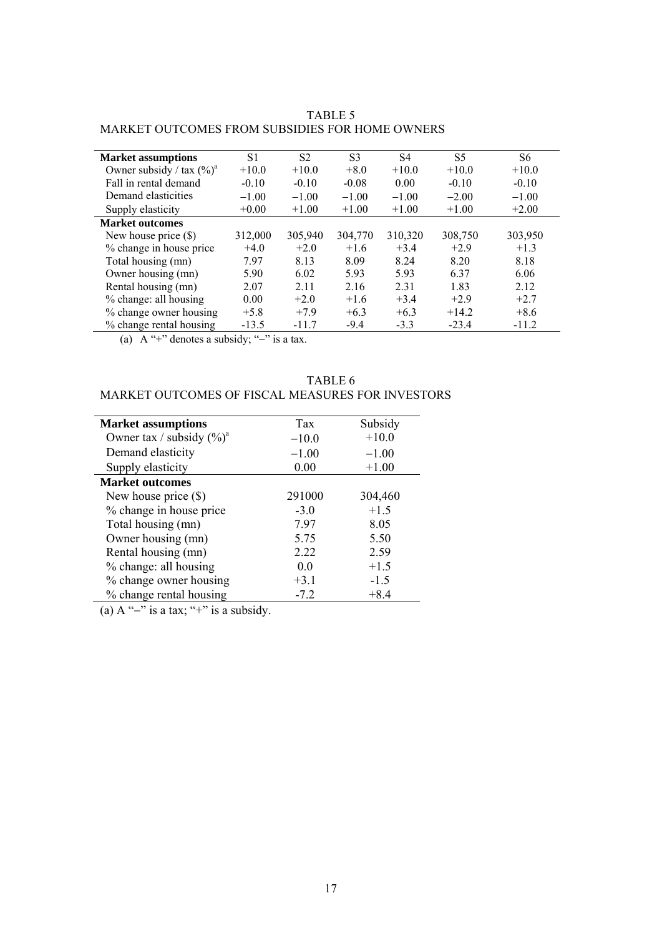## ARKET OUTCOMES FROM SUBSIDIES FOR HOME OWNERS M TABLE 5

| <b>Market assumptions</b>             | S1      | S <sub>2</sub> | S3      | S <sub>4</sub> | S5      | S6      |
|---------------------------------------|---------|----------------|---------|----------------|---------|---------|
| Owner subsidy / tax $(\frac{6}{9})^a$ | $+10.0$ | $+10.0$        | $+8.0$  | $+10.0$        | $+10.0$ | $+10.0$ |
| Fall in rental demand                 | $-0.10$ | $-0.10$        | $-0.08$ | 0.00           | $-0.10$ | $-0.10$ |
| Demand elasticities                   | $-1.00$ | $-1.00$        | $-1.00$ | $-1.00$        | $-2.00$ | $-1.00$ |
| Supply elasticity                     | $+0.00$ | $+1.00$        | $+1.00$ | $+1.00$        | $+1.00$ | $+2.00$ |
| <b>Market outcomes</b>                |         |                |         |                |         |         |
| New house price $(\$)$                | 312,000 | 305,940        | 304,770 | 310,320        | 308,750 | 303,950 |
| % change in house price               | $+4.0$  | $+2.0$         | $+1.6$  | $+3.4$         | $+2.9$  | $+1.3$  |
| Total housing (mn)                    | 7.97    | 8.13           | 8.09    | 8.24           | 8.20    | 8.18    |
| Owner housing (mn)                    | 5.90    | 6.02           | 5.93    | 5.93           | 6.37    | 6.06    |
| Rental housing (mn)                   | 2.07    | 2.11           | 2.16    | 2.31           | 1.83    | 2.12    |
| % change: all housing                 | 0.00    | $+2.0$         | $+1.6$  | $+3.4$         | $+2.9$  | $+2.7$  |
| % change owner housing                | $+5.8$  | $+7.9$         | $+6.3$  | $+6.3$         | $+14.2$ | $+8.6$  |
| % change rental housing               | $-13.5$ | $-11.7$        | $-9.4$  | $-3.3$         | $-23.4$ | $-11.2$ |

(a) A "+" denotes a subsidy; " $-$ " is a tax.

## ARKET OUTCOMES OF FISCAL MEASURES FOR INVESTORS M TABLE 6

| <b>Market assumptions</b>    | Tax     | Subsidy |
|------------------------------|---------|---------|
| Owner tax / subsidy $(\%)^a$ | $-10.0$ | $+10.0$ |
| Demand elasticity            | $-1.00$ | $-1.00$ |
| Supply elasticity            | 0.00    | $+1.00$ |
| <b>Market outcomes</b>       |         |         |
| New house price $(\$)$       | 291000  | 304,460 |
| % change in house price      | $-3.0$  | $+1.5$  |
| Total housing (mn)           | 7.97    | 8.05    |
| Owner housing (mn)           | 5.75    | 5.50    |
| Rental housing (mn)          | 2.22    | 2.59    |
| % change: all housing        | 0.0     | $+1.5$  |
| % change owner housing       | $+3.1$  | $-1.5$  |
| % change rental housing      | $-7.2$  | $+8.4$  |

(a)  $A''-$ " is a tax; "+" is a subsidy.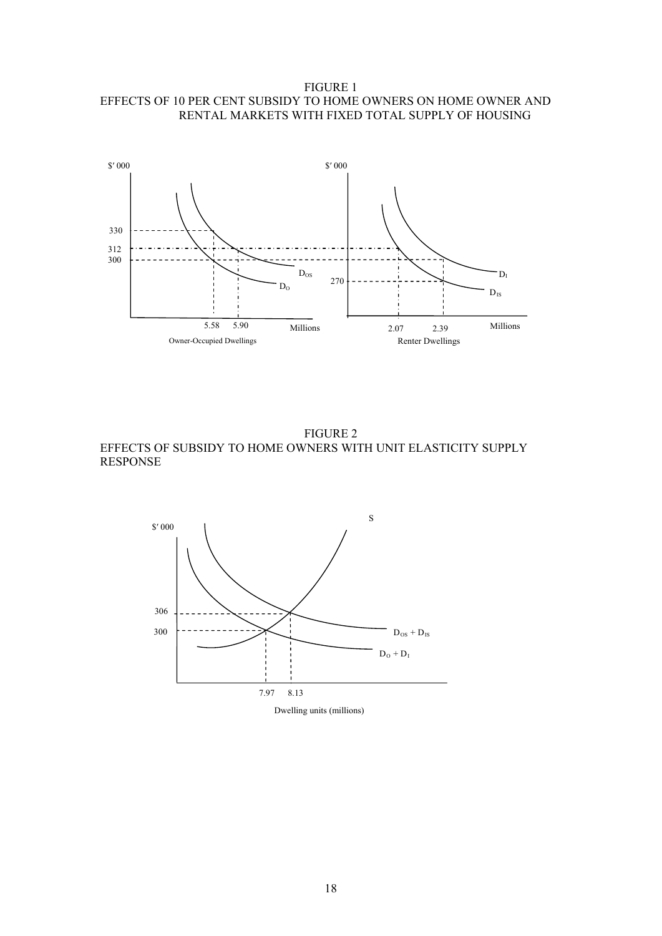FIGURE 1 EFFECTS OF 10 PER CENT SUBSIDY TO HOME OWNERS ON HOME OWNER AND RENTAL MARKETS WITH FIXED TOTAL SUPPLY OF HOUSING



FIGURE 2 EFFECTS OF SUBSIDY TO HOME OWNERS WITH UNIT ELASTICITY SUPPLY RESPONSE

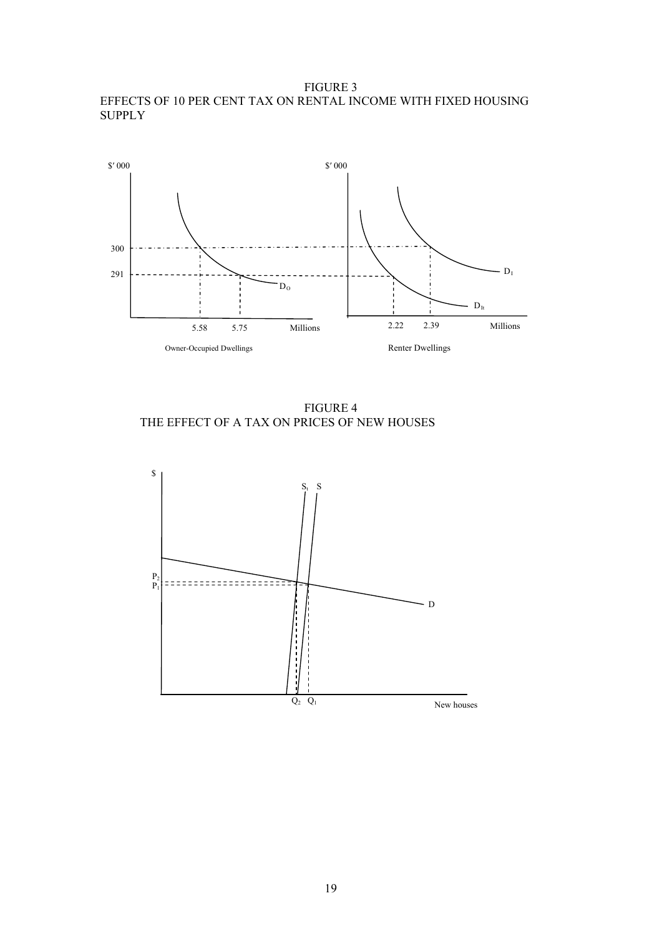FIGURE 3 EFFECTS OF 10 PER CENT TAX ON RENTAL INCOME WITH FIXED HOUSING **SUPPLY** 



FIGURE 4 THE EFFECT OF A TAX ON PRICES OF NEW HOUSES

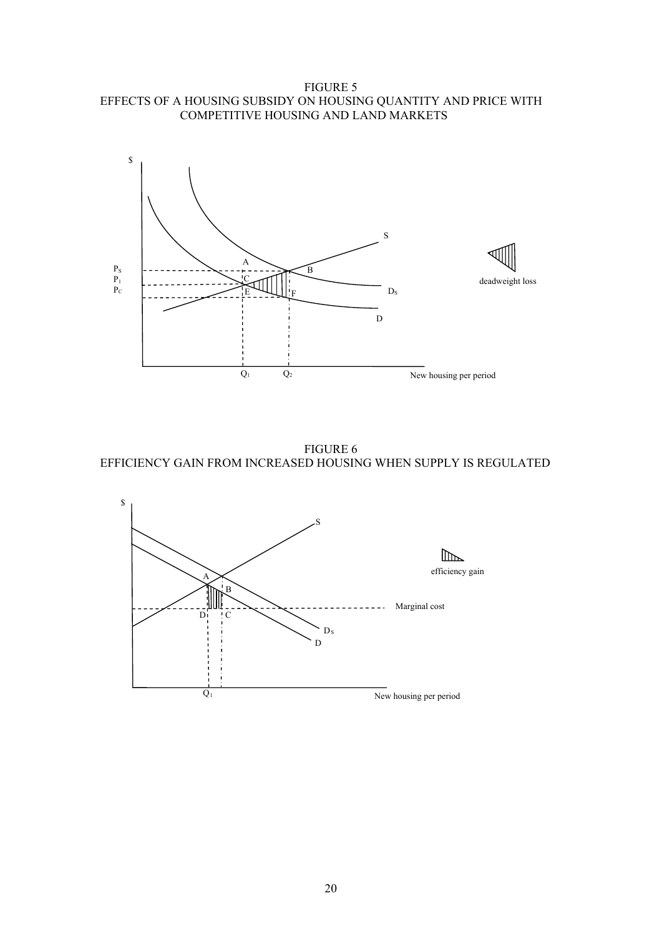FIGURE 5 EFFECTS OF A HOUSING SUBSIDY ON HOUSING QUANTITY AND PRICE WITH COMPETITIVE HOUSING AND LAND MARKETS



FIGURE 6 EFFICIENCY GAIN FROM INCREASED HOUSING WHEN SUPPLY IS REGULATED